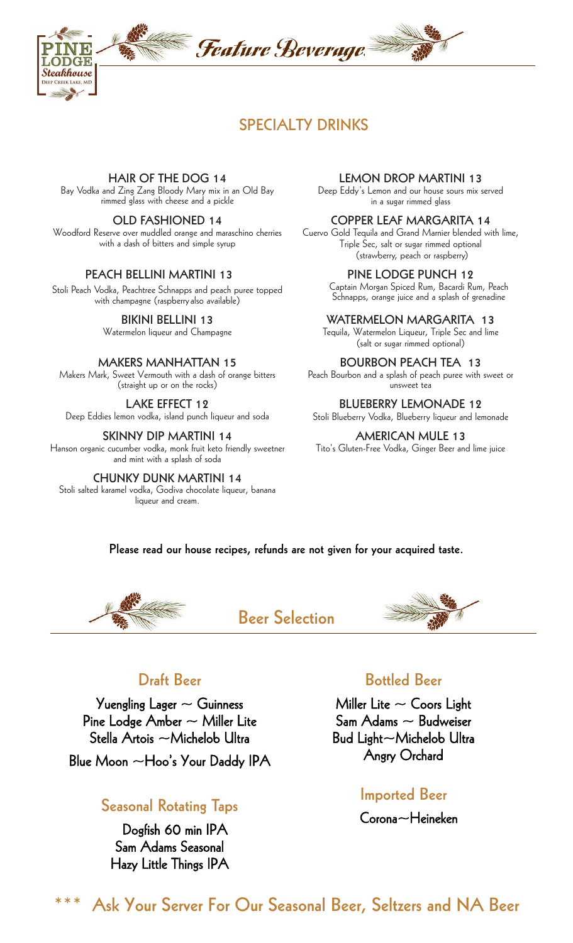

# **SPECIALTY DRINKS**

### **HAIR OF THE DOG 14**

Bay Vodka and Zing Zang Bloody Mary mix in an Old Bay rimmed glass with cheese and a pickle

#### **OLD FASHIONED 14**

Woodford Reserve over muddled orange and maraschino cherries with a dash of bitters and simple syrup

#### **PEACH BELLINI MARTINI 13**

Stoli Peach Vodka, Peachtree Schnapps and peach puree topped with champagne (raspberryalso available)

**BIKINI BELLINI 13**

Watermelon liqueur and Champagne

#### **MAKERS MANHATTAN 15**

Makers Mark, Sweet Vermouth with a dash of orange bitters (straight up or on the rocks)

**LAKE EFFECT 12** Deep Eddies lemon vodka, island punch liqueur and soda

**SKINNY DIP MARTINI 14** Hanson organic cucumber vodka, monk fruit keto friendly sweetner and mint with a splash of soda

**CHUNKY DUNK MARTINI 14** Stoli salted karamel vodka, Godiva chocolate liqueur, banana liqueur and cream.

#### **LEMON DROP MARTINI 13**

Deep Eddy's Lemon and our house sours mix served in a sugar rimmed glass

#### **COPPER LEAF MARGARITA 14**

Cuervo Gold Tequila and Grand Marnier blended with lime, Triple Sec, salt or sugar rimmed optional (strawberry, peach or raspberry)

**PINE LODGE PUNCH 12**

Captain Morgan Spiced Rum, Bacardi Rum, Peach Schnapps, orange juice and a splash of grenadine

#### **WATERMELON MARGARITA 13**

Tequila, Watermelon Liqueur, Triple Sec and lime (salt or sugar rimmed optional)

#### **BOURBON PEACH TEA 13**

Peach Bourbon and a splash of peach puree with sweet or unsweet tea

#### **BLUEBERRY LEMONADE 12**

Stoli Blueberry Vodka, Blueberry liqueur and lemonade

**AMERICAN MULE 13** Tito's Gluten-Free Vodka, Ginger Beer and lime juice

### **Please read our house recipes, refunds are not given for your acquired taste.**



### **Beer Selection**



# **Draft Beer**

Yuengling Lager  $\sim$  Guinness Pine Lodge Amber  $\sim$  Miller Lite Stella Artois ~Michelob Ultra Blue Moon  $\sim$  Hoo's Your Daddy IPA

### **Seasonal Rotating Taps**

Dogfish 60 min IPA Sam Adams Seasonal Hazy Little Things IPA

### **Bottled Beer**

Miller Lite  $\sim$  Coors Light Sam Adams  $\sim$  Budweiser Bud Light~Michelob Ultra Angry Orchard

### **Imported Beer**

Corona~Heineken

**\*\*\* Ask Your Server For Our Seasonal Beer, Seltzers and NA Beer**